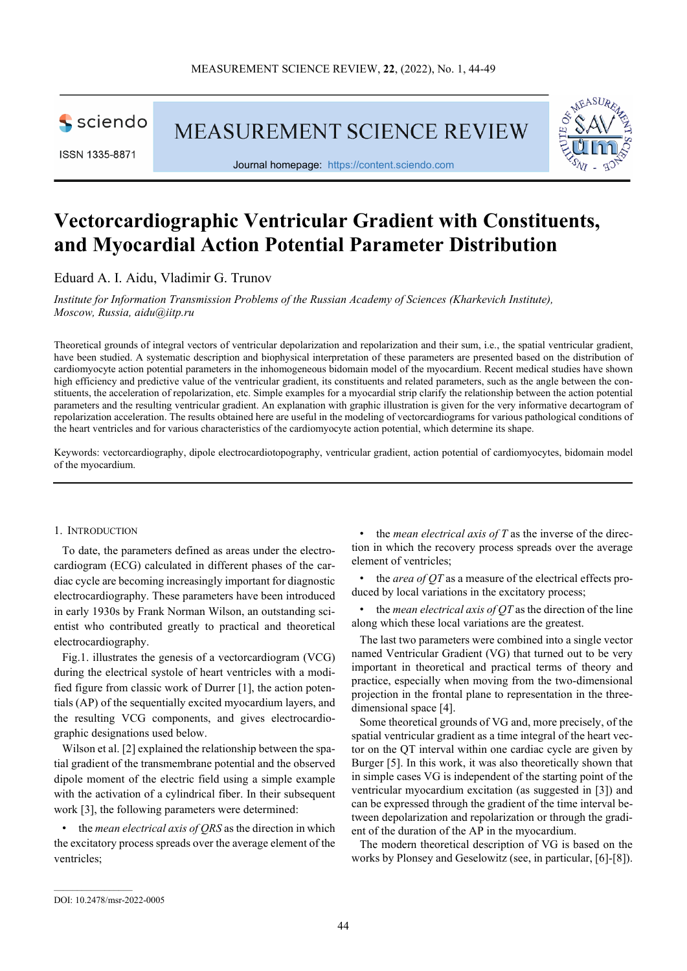

ISSN 1335-8871

MEASUREMENT SCIENCE REVIEW



Journal homepage: [https://content.sciendo.com](https://content.sciendo.com/view/journals/msr/msr-overview.xml)

# **Vectorcardiographic Ventricular Gradient with Constituents, and Myocardial Action Potential Parameter Distribution**

Eduard A. I. Aidu, Vladimir G. Trunov

*Institute for Information Transmission Problems of the Russian Academy of Sciences (Kharkevich Institute), Moscow, Russia, aidu@iitp.ru*

Theoretical grounds of integral vectors of ventricular depolarization and repolarization and their sum, i.e., the spatial ventricular gradient, have been studied. A systematic description and biophysical interpretation of these parameters are presented based on the distribution of cardiomyocyte action potential parameters in the inhomogeneous bidomain model of the myocardium. Recent medical studies have shown high efficiency and predictive value of the ventricular gradient, its constituents and related parameters, such as the angle between the constituents, the acceleration of repolarization, etc. Simple examples for a myocardial strip clarify the relationship between the action potential parameters and the resulting ventricular gradient. An explanation with graphic illustration is given for the very informative decartogram of repolarization acceleration. The results obtained here are useful in the modeling of vectorcardiograms for various pathological conditions of the heart ventricles and for various characteristics of the cardiomyocyte action potential, which determine its shape.

Keywords: vectorcardiography, dipole electrocardiotopography, ventricular gradient, action potential of cardiomyocytes, bidomain model of the myocardium.

#### 1. INTRODUCTION

To date, the parameters defined as areas under the electrocardiogram (ECG) calculated in different phases of the cardiac cycle are becoming increasingly important for diagnostic electrocardiography. These parameters have been introduced in early 1930s by Frank Norman Wilson, an outstanding scientist who contributed greatly to practical and theoretical electrocardiography.

Fig.1. illustrates the genesis of a vectorcardiogram (VCG) during the electrical systole of heart ventricles with a modified figure from classic work of Durrer [1], the action potentials (AP) of the sequentially excited myocardium layers, and the resulting VCG components, and gives electrocardiographic designations used below.

Wilson et al. [2] explained the relationship between the spatial gradient of the transmembrane potential and the observed dipole moment of the electric field using a simple example with the activation of a cylindrical fiber. In their subsequent work [3], the following parameters were determined:

• the *mean electrical axis of QRS* as the direction in which the excitatory process spreads over the average element of the ventricles;

• the *mean electrical axis of T* as the inverse of the direction in which the recovery process spreads over the average element of ventricles;

• the *area of QT* as a measure of the electrical effects produced by local variations in the excitatory process;

• the *mean electrical axis of QT* as the direction of the line along which these local variations are the greatest.

The last two parameters were combined into a single vector named Ventricular Gradient (VG) that turned out to be very important in theoretical and practical terms of theory and practice, especially when moving from the two-dimensional projection in the frontal plane to representation in the threedimensional space [4].

Some theoretical grounds of VG and, more precisely, of the spatial ventricular gradient as a time integral of the heart vector on the QT interval within one cardiac cycle are given by Burger [5]. In this work, it was also theoretically shown that in simple cases VG is independent of the starting point of the ventricular myocardium excitation (as suggested in [3]) and can be expressed through the gradient of the time interval between depolarization and repolarization or through the gradient of the duration of the AP in the myocardium.

The modern theoretical description of VG is based on the works by Plonsey and Geselowitz (see, in particular, [6]-[8]).

 $\mathcal{L}_\text{max}$  and  $\mathcal{L}_\text{max}$  and  $\mathcal{L}_\text{max}$ 

DOI: 10.2478/msr-2022-0005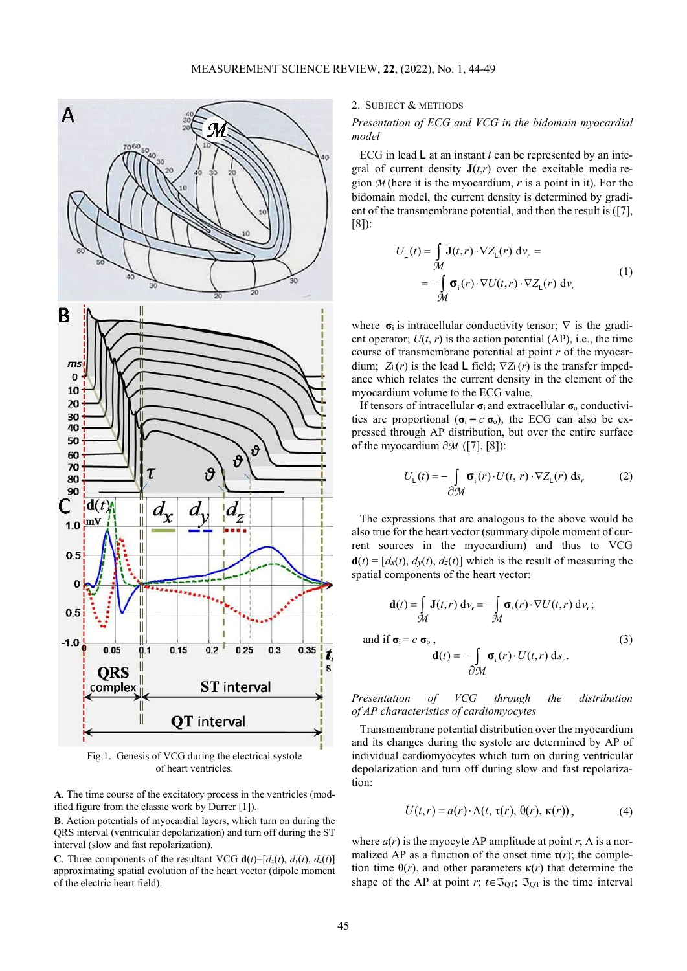

Fig.1. Genesis of VCG during the electrical systole of heart ventricles.

**A**. The time course of the excitatory process in the ventricles (modified figure from the classic work by Durrer [1]).

**B**. Action potentials of myocardial layers, which turn on during the QRS interval (ventricular depolarization) and turn off during the ST interval (slow and fast repolarization).

**C**. Three components of the resultant VCG  $\mathbf{d}(t)=[d_x(t), d_y(t), d_z(t)]$ approximating spatial evolution of the heart vector (dipole moment of the electric heart field).

# 2. SUBJECT & METHODS

# *Presentation of ECG and VCG in the bidomain myocardial model*

ECG in lead L at an instant *t* can be represented by an integral of current density  $J(t,r)$  over the excitable media region *M* (here it is the myocardium, *r* is a point in it). For the bidomain model, the current density is determined by gradient of the transmembrane potential, and then the result is ([7], [8]):

$$
U_{L}(t) = \int_{\mathcal{M}} \mathbf{J}(t, r) \cdot \nabla Z_{L}(r) dv_{r} =
$$
  
= 
$$
-\int_{\mathcal{M}} \mathbf{\sigma}_{i}(r) \cdot \nabla U(t, r) \cdot \nabla Z_{L}(r) dv_{r}
$$
 (1)

where  $\sigma_i$  is intracellular conductivity tensor;  $\nabla$  is the gradient operator;  $U(t, r)$  is the action potential (AP), i.e., the time course of transmembrane potential at point *r* of the myocardium;  $Z_L(r)$  is the lead L field;  $\nabla Z_L(r)$  is the transfer impedance which relates the current density in the element of the myocardium volume to the ECG value.

If tensors of intracellular **σ**i and extracellular **σ**<sup>o</sup> conductivities are proportional  $(\sigma_i = c \sigma_o)$ , the ECG can also be expressed through AP distribution, but over the entire surface of the myocardium ∂*M* ([7], [8]):

$$
U_{L}(t) = -\int_{\partial M} \sigma_{i}(r) \cdot U(t, r) \cdot \nabla Z_{L}(r) \, ds_{r}
$$
 (2)

The expressions that are analogous to the above would be also true for the heart vector (summary dipole moment of current sources in the myocardium) and thus to VCG  $\mathbf{d}(t) = [d_x(t), d_y(t), d_z(t)]$  which is the result of measuring the spatial components of the heart vector:

$$
\mathbf{d}(t) = \int_{\mathcal{M}} \mathbf{J}(t, r) \, \mathrm{d}v_r = -\int_{\mathcal{M}} \sigma_i(r) \cdot \nabla U(t, r) \, \mathrm{d}v_r;
$$
\n
$$
\text{and if } \sigma_i = c \, \sigma_0 \,,
$$
\n
$$
\mathbf{d}(t) = -\int_{\partial \mathcal{M}} \sigma_i(r) \cdot U(t, r) \, \mathrm{d}s_r.
$$
\n(3)

*Presentation of VCG through the distribution of AP characteristics of cardiomyocytes*

Transmembrane potential distribution over the myocardium and its changes during the systole are determined by AP of individual cardiomyocytes which turn on during ventricular depolarization and turn off during slow and fast repolarization:

$$
U(t,r) = a(r) \cdot \Lambda(t, \tau(r), \theta(r), \kappa(r)), \qquad (4)
$$

where  $a(r)$  is the myocyte AP amplitude at point  $r \in \Lambda$  is a normalized AP as a function of the onset time  $\tau(r)$ ; the completion time  $\theta(r)$ , and other parameters  $\kappa(r)$  that determine the shape of the AP at point *r*;  $t \in \mathfrak{I}_{\text{QT}}$ ;  $\mathfrak{I}_{\text{QT}}$  is the time interval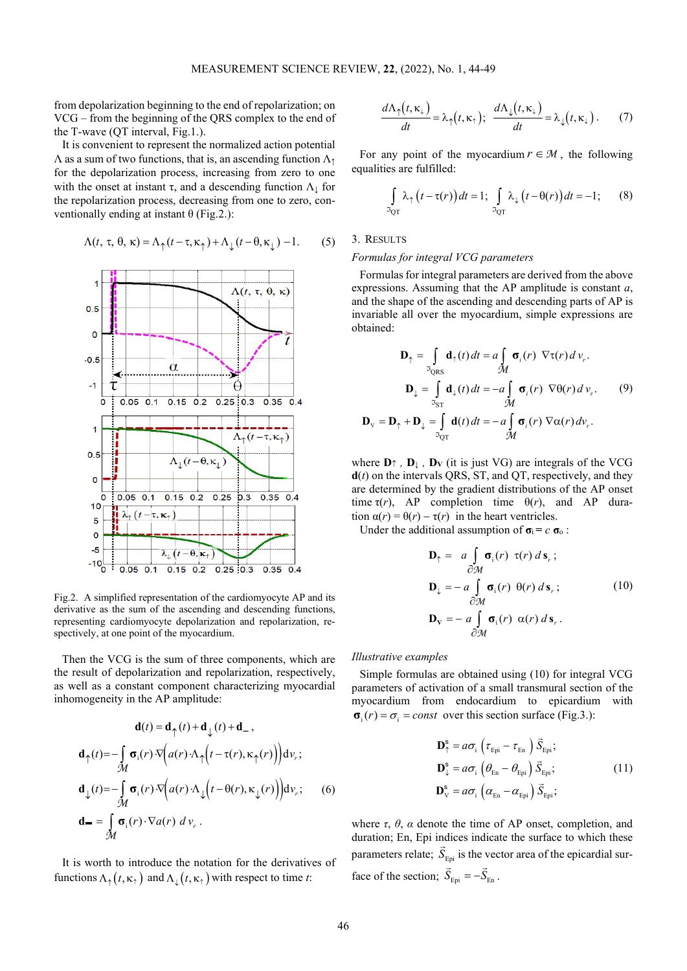from depolarization beginning to the end of repolarization; on VCG – from the beginning of the QRS complex to the end of the T-wave (QT interval, Fig.1.).

It is convenient to represent the normalized action potential  $\Lambda$  as a sum of two functions, that is, an ascending function  $\Lambda$ <sup>1</sup> for the depolarization process, increasing from zero to one with the onset at instant  $\tau$ , and a descending function  $\Lambda_1$  for the repolarization process, decreasing from one to zero, conventionally ending at instant  $θ$  (Fig.2.):

$$
\Lambda(t, \tau, \theta, \kappa) = \Lambda_{\uparrow}(t - \tau, \kappa_{\uparrow}) + \Lambda_{\downarrow}(t - \theta, \kappa_{\downarrow}) - 1.
$$
 (5)



Fig.2. A simplified representation of the cardiomyocyte AP and its derivative as the sum of the ascending and descending functions, representing cardiomyocyte depolarization and repolarization, respectively, at one point of the myocardium.

Then the VCG is the sum of three components, which are the result of depolarization and repolarization, respectively, as well as a constant component characterizing myocardial inhomogeneity in the AP amplitude:

$$
\mathbf{d}(t) = \mathbf{d}_{\uparrow}(t) + \mathbf{d}_{\downarrow}(t) + \mathbf{d}_{-},
$$
\n
$$
\mathbf{d}_{\uparrow}(t) = -\int_{\mathcal{M}} \sigma_{i}(r) \cdot \nabla \Big(a(r) \cdot \Lambda_{\uparrow} \Big(t - \tau(r), \kappa_{\uparrow}(r)\Big) \Big) \, \mathrm{d}v_{r};
$$
\n
$$
\mathbf{d}_{\downarrow}(t) = -\int_{\mathcal{M}} \sigma_{i}(r) \cdot \nabla \Big(a(r) \cdot \Lambda_{\downarrow} \Big(t - \theta(r), \kappa_{\downarrow}(r)\Big) \Big) \, \mathrm{d}v_{r}; \qquad (6)
$$
\n
$$
\mathbf{d}_{-} = \int_{\mathcal{M}} \sigma_{i}(r) \cdot \nabla a(r) \, \mathrm{d}v_{r}.
$$

It is worth to introduce the notation for the derivatives of functions  $\Lambda_{\uparrow}(t, \kappa_{\uparrow})$  and  $\Lambda_{\perp}(t, \kappa_{\uparrow})$  with respect to time *t*:

$$
\frac{d\Lambda_{\uparrow}(t,\kappa_{\downarrow})}{dt} = \lambda_{\uparrow}(t,\kappa_{\uparrow}); \quad \frac{d\Lambda_{\downarrow}(t,\kappa_{\downarrow})}{dt} = \lambda_{\downarrow}(t,\kappa_{\downarrow}). \tag{7}
$$

For any point of the myocardium  $r \in M$ , the following equalities are fulfilled:

$$
\int_{\Im_{\mathrm{QT}}} \lambda_{\uparrow} (t - \tau(r)) dt = 1; \int_{\Im_{\mathrm{QT}}} \lambda_{\downarrow} (t - \theta(r)) dt = -1; \qquad (8)
$$

## 3. RESULTS

# *Formulas for integral VCG parameters*

Formulas for integral parameters are derived from the above expressions. Assuming that the AP amplitude is constant *a*, and the shape of the ascending and descending parts of AP is invariable all over the myocardium, simple expressions are obtained:

$$
\mathbf{D}_{\uparrow} = \int_{\mathfrak{D}_{QRS}} \mathbf{d}_{\uparrow}(t) dt = a \int_{\mathcal{M}} \mathbf{\sigma}_{i}(r) \nabla \tau(r) d \nu_{r}.
$$
\n
$$
\mathbf{D}_{\downarrow} = \int_{\mathfrak{D}_{ST}} \mathbf{d}_{\downarrow}(t) dt = -a \int_{\mathcal{M}} \mathbf{\sigma}_{i}(r) \nabla \theta(r) d \nu_{r}.
$$
\n
$$
\mathbf{D}_{\nu} = \mathbf{D}_{\uparrow} + \mathbf{D}_{\downarrow} = \int_{\mathfrak{D}_{QT}} \mathbf{d}(t) dt = -a \int_{\mathcal{M}} \mathbf{\sigma}_{i}(r) \nabla \alpha(r) d \nu_{r}.
$$
\n(9)

where  $\mathbf{D} \uparrow$ ,  $\mathbf{D} \downarrow$ ,  $\mathbf{D} \mathbf{v}$  (it is just VG) are integrals of the VCG **d**(*t*) on the intervals QRS, ST, and QT, respectively, and they are determined by the gradient distributions of the AP onset time  $\tau(r)$ , AP completion time  $\theta(r)$ , and AP duration  $\alpha(r) = \theta(r) - \tau(r)$  in the heart ventricles.

Under the additional assumption of  $\sigma_i = c \sigma_o$ :

$$
\mathbf{D}_{\uparrow} = a \int_{\partial \mathcal{M}} \sigma_{i}(r) \tau(r) ds_{r};
$$
\n
$$
\mathbf{D}_{\downarrow} = -a \int_{\partial \mathcal{M}} \sigma_{i}(r) \theta(r) ds_{r};
$$
\n
$$
\mathbf{D}_{\mathbf{V}} = -a \int_{\partial \mathcal{M}} \sigma_{i}(r) \alpha(r) ds_{r}.
$$
\n(10)

*Illustrative examples*

Simple formulas are obtained using (10) for integral VCG parameters of activation of a small transmural section of the myocardium from endocardium to epicardium with  $\sigma_i$   $(r) = \sigma_i$  = const over this section surface (Fig.3.):

$$
\mathbf{D}_{\uparrow}^{s} = a\sigma_{i} \left( \tau_{Epi} - \tau_{En} \right) \vec{S}_{Epi};
$$
\n
$$
\mathbf{D}_{\downarrow}^{s} = a\sigma_{i} \left( \theta_{En} - \theta_{Epi} \right) \vec{S}_{Epi};
$$
\n
$$
\mathbf{D}_{\vee}^{s} = a\sigma_{i} \left( \alpha_{En} - \alpha_{Epi} \right) \vec{S}_{Epi};
$$
\n(11)

where  $\tau$ ,  $\theta$ ,  $\alpha$  denote the time of AP onset, completion, and duration; En, Epi indices indicate the surface to which these  $\vec{S}_{\text{Epi}}$  is the vector area of the epicardial surface of the section;  $\vec{S}_{Epi} = -\vec{S}_{En}$ .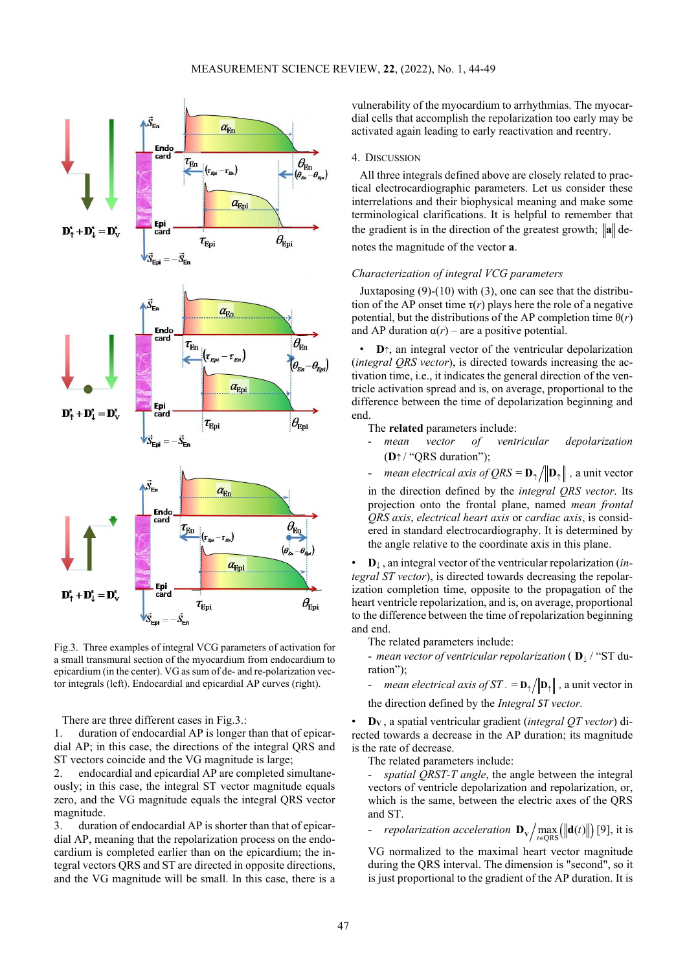

Fig.3. Three examples of integral VCG parameters of activation for a small transmural section of the myocardium from endocardium to epicardium (in the center). VG as sum of de- and re-polarization vector integrals (left). Endocardial and epicardial AP curves (right).

There are three different cases in Fig.3.:

1. duration of endocardial AP is longer than that of epicardial AP; in this case, the directions of the integral QRS and ST vectors coincide and the VG magnitude is large;

2. endocardial and epicardial AP are completed simultaneously; in this case, the integral ST vector magnitude equals zero, and the VG magnitude equals the integral QRS vector magnitude.

3. duration of endocardial AP is shorter than that of epicardial AP, meaning that the repolarization process on the endocardium is completed earlier than on the epicardium; the integral vectors QRS and ST are directed in opposite directions, and the VG magnitude will be small. In this case, there is a vulnerability of the myocardium to arrhythmias. The myocardial cells that accomplish the repolarization too early may be activated again leading to early reactivation and reentry.

# 4. DISCUSSION

All three integrals defined above are closely related to practical electrocardiographic parameters. Let us consider these interrelations and their biophysical meaning and make some terminological clarifications. It is helpful to remember that the gradient is in the direction of the greatest growth;  $\|\mathbf{a}\|$  denotes the magnitude of the vector **a**.

## *Characterization of integral VCG parameters*

Juxtaposing (9)-(10) with (3), one can see that the distribution of the AP onset time  $\tau(r)$  plays here the role of a negative potential, but the distributions of the AP completion time  $\theta(r)$ and AP duration  $\alpha(r)$  – are a positive potential.

**D**↑, an integral vector of the ventricular depolarization (*integral QRS vector*), is directed towards increasing the activation time, i.e., it indicates the general direction of the ventricle activation spread and is, on average, proportional to the difference between the time of depolarization beginning and end.

The **related** parameters include:

- *mean vector of ventricular depolarization* (**D**<sup>↑</sup> / "QRS duration");
- *mean electrical axis of QRS* =  $\mathbf{D}_{\uparrow} / ||\mathbf{D}_{\uparrow}||$  , a unit vector

in the direction defined by the *integral QRS vector*. Its projection onto the frontal plane, named *mean frontal QRS axis*, *electrical heart axis* or *cardiac axis*, is considered in standard electrocardiography. It is determined by the angle relative to the coordinate axis in this plane.

• **D**<sup>↓</sup> , an integral vector of the ventricular repolarization (*integral ST vector*), is directed towards decreasing the repolarization completion time, opposite to the propagation of the heart ventricle repolarization, and is, on average, proportional to the difference between the time of repolarization beginning and end.

The related parameters include:

- *mean vector of ventricular repolarization* ( **D**<sup>↓</sup> / "ST duration");

*mean electrical axis of ST* . =  $\mathbf{D}_{\uparrow}/|\mathbf{D}_{\uparrow}|$ , a unit vector in the direction defined by the *Integral ST vector.*

• **DV** , a spatial ventricular gradient (*integral QT vector*) di-

rected towards a decrease in the AP duration; its magnitude is the rate of decrease.

The related parameters include:

spatial QRST-T angle, the angle between the integral vectors of ventricle depolarization and repolarization, or, which is the same, between the electric axes of the QRS and ST.

*repolarization acceleration*  $\mathbf{D}_{\mathbf{v}} / \max_{t \in \text{QRS}} (\|\mathbf{d}(t)\|)$  [9], it is

VG normalized to the maximal heart vector magnitude during the QRS interval. The dimension is "second", so it is just proportional to the gradient of the AP duration. It is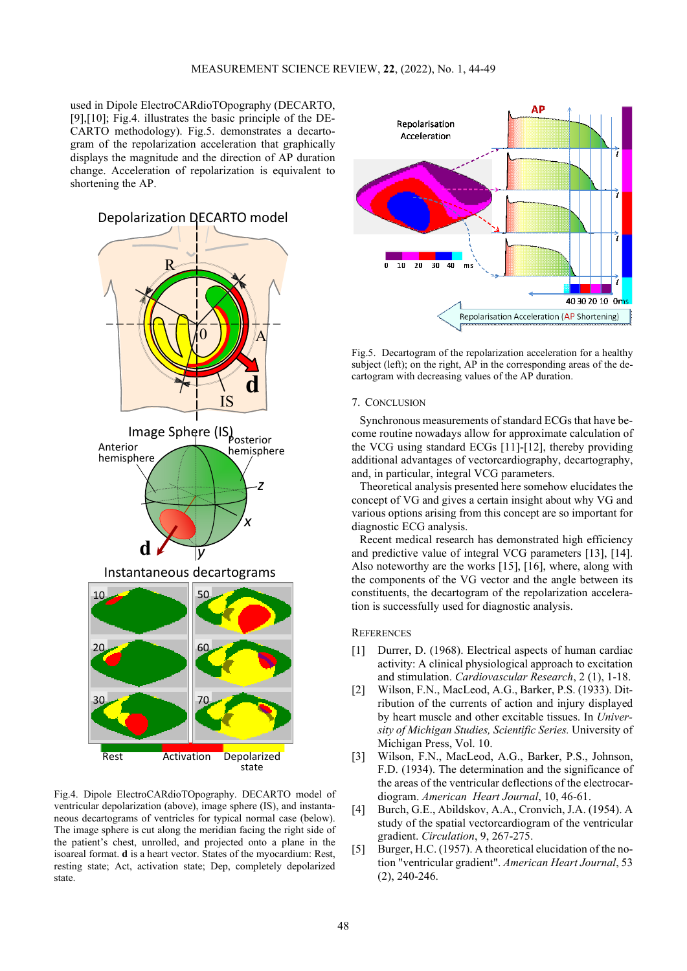used in Dipole ElectroCARdioTOpography (DECARTO, [9],[10]; Fig.4. illustrates the basic principle of the DE-CARTO methodology). Fig.5. demonstrates a decartogram of the repolarization acceleration that graphically displays the magnitude and the direction of AP duration change. Acceleration of repolarization is equivalent to shortening the AP.



Fig.4. Dipole ElectroCARdioTOpography. DECARTO model of ventricular depolarization (above), image sphere (IS), and instantaneous decartograms of ventricles for typical normal case (below). The image sphere is cut along the meridian facing the right side of the patient's chest, unrolled, and projected onto a plane in the isoareal format. **d** is a heart vector. States of the myocardium: Rest, resting state; Act, activation state; Dep, completely depolarized state.



Fig.5. Decartogram of the repolarization acceleration for a healthy subject (left); on the right, AP in the corresponding areas of the decartogram with decreasing values of the AP duration.

#### 7. CONCLUSION

Synchronous measurements of standard ECGs that have become routine nowadays allow for approximate calculation of the VCG using standard ECGs [11]-[12], thereby providing additional advantages of vectorcardiography, decartography, and, in particular, integral VCG parameters.

Theoretical analysis presented here somehow elucidates the concept of VG and gives a certain insight about why VG and various options arising from this concept are so important for diagnostic ECG analysis.

Recent medical research has demonstrated high efficiency and predictive value of integral VCG parameters [13], [14]. Also noteworthy are the works [15], [16], where, along with the components of the VG vector and the angle between its constituents, the decartogram of the repolarization acceleration is successfully used for diagnostic analysis.

# **REFERENCES**

- [1] Durrer, D. (1968). Electrical aspects of human cardiac activity: A clinical physiological approach to excitation and stimulation. *Cardiovascular Research*, 2 (1), 1-18.
- [2] Wilson, F.N., MacLeod, A.G., Barker, P.S. (1933). Ditribution of the currents of action and injury displayed by heart muscle and other excitable tissues. In *University of Michigan Studies, Scientific Series.* University of Michigan Press, Vol. 10.
- [3] Wilson, F.N., MacLeod, A.G., Barker, P.S., Johnson, F.D. (1934). The determination and the significance of the areas of the ventricular deflections of the electrocardiogram. *American Heart Journal*, 10, 46-61.
- [4] Burch, G.E., Abildskov, A.A., Cronvich, J.A. (1954). A study of the spatial vectorcardiogram of the ventricular gradient. *Circulation*, 9, 267-275.
- [5] Burger, H.C. (1957). A theoretical elucidation of the notion "ventricular gradient". *American Heart Journal*, 53 (2), 240-246.